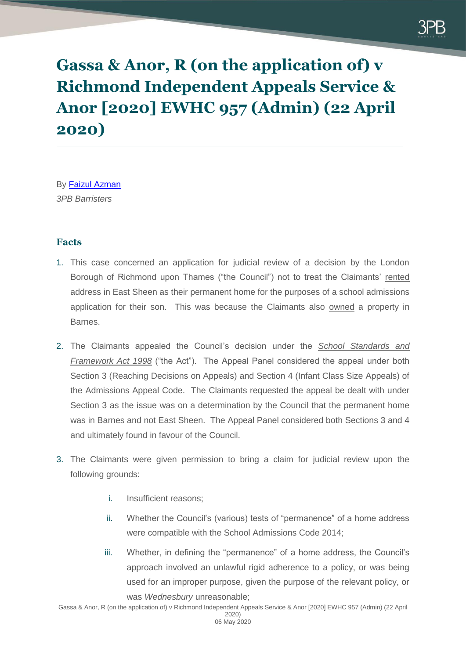

**Gassa & Anor, R (on the application of) v Richmond Independent Appeals Service & Anor [2020] EWHC 957 (Admin) (22 April 2020)**

By [Faizul Azman](https://www.3pb.co.uk/barristers/faizul-azman/) *3PB Barristers*

## **Facts**

- 1. This case concerned an application for judicial review of a decision by the London Borough of Richmond upon Thames ("the Council") not to treat the Claimants' rented address in East Sheen as their permanent home for the purposes of a school admissions application for their son. This was because the Claimants also owned a property in Barnes.
- 2. The Claimants appealed the Council's decision under the *School Standards and Framework Act 1998* ("the Act"). The Appeal Panel considered the appeal under both Section 3 (Reaching Decisions on Appeals) and Section 4 (Infant Class Size Appeals) of the Admissions Appeal Code. The Claimants requested the appeal be dealt with under Section 3 as the issue was on a determination by the Council that the permanent home was in Barnes and not East Sheen. The Appeal Panel considered both Sections 3 and 4 and ultimately found in favour of the Council.
- 3. The Claimants were given permission to bring a claim for judicial review upon the following grounds:
	- i. Insufficient reasons;
	- ii. Whether the Council's (various) tests of "permanence" of a home address were compatible with the School Admissions Code 2014;
	- iii. Whether, in defining the "permanence" of a home address, the Council's approach involved an unlawful rigid adherence to a policy, or was being used for an improper purpose, given the purpose of the relevant policy, or was *Wednesbury* unreasonable;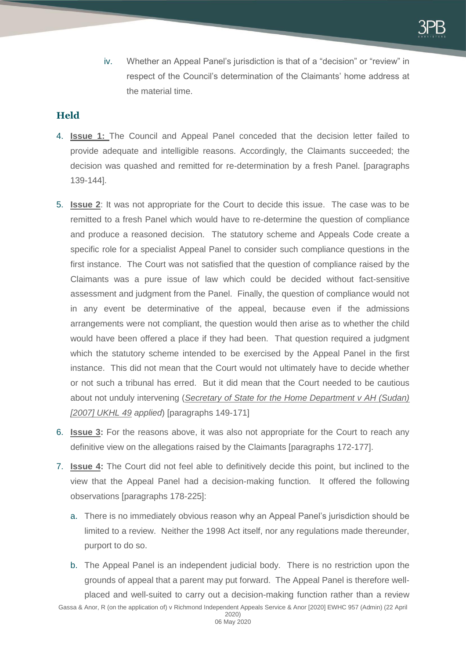iv. Whether an Appeal Panel's jurisdiction is that of a "decision" or "review" in respect of the Council's determination of the Claimants' home address at the material time.

## **Held**

- 4. **Issue 1:** The Council and Appeal Panel conceded that the decision letter failed to provide adequate and intelligible reasons. Accordingly, the Claimants succeeded; the decision was quashed and remitted for re-determination by a fresh Panel. [paragraphs 139-144].
- 5. **Issue 2**: It was not appropriate for the Court to decide this issue. The case was to be remitted to a fresh Panel which would have to re-determine the question of compliance and produce a reasoned decision. The statutory scheme and Appeals Code create a specific role for a specialist Appeal Panel to consider such compliance questions in the first instance. The Court was not satisfied that the question of compliance raised by the Claimants was a pure issue of law which could be decided without fact-sensitive assessment and judgment from the Panel. Finally, the question of compliance would not in any event be determinative of the appeal, because even if the admissions arrangements were not compliant, the question would then arise as to whether the child would have been offered a place if they had been. That question required a judgment which the statutory scheme intended to be exercised by the Appeal Panel in the first instance. This did not mean that the Court would not ultimately have to decide whether or not such a tribunal has erred. But it did mean that the Court needed to be cautious about not unduly intervening (*Secretary of State for the Home Department v AH (Sudan) [2007] UKHL 49 applied*) [paragraphs 149-171]
- 6. **Issue 3:** For the reasons above, it was also not appropriate for the Court to reach any definitive view on the allegations raised by the Claimants [paragraphs 172-177].
- 7. **Issue 4:** The Court did not feel able to definitively decide this point, but inclined to the view that the Appeal Panel had a decision-making function. It offered the following observations [paragraphs 178-225]:
	- a. There is no immediately obvious reason why an Appeal Panel's jurisdiction should be limited to a review. Neither the 1998 Act itself, nor any regulations made thereunder, purport to do so.
	- b. The Appeal Panel is an independent judicial body. There is no restriction upon the grounds of appeal that a parent may put forward. The Appeal Panel is therefore wellplaced and well-suited to carry out a decision-making function rather than a review